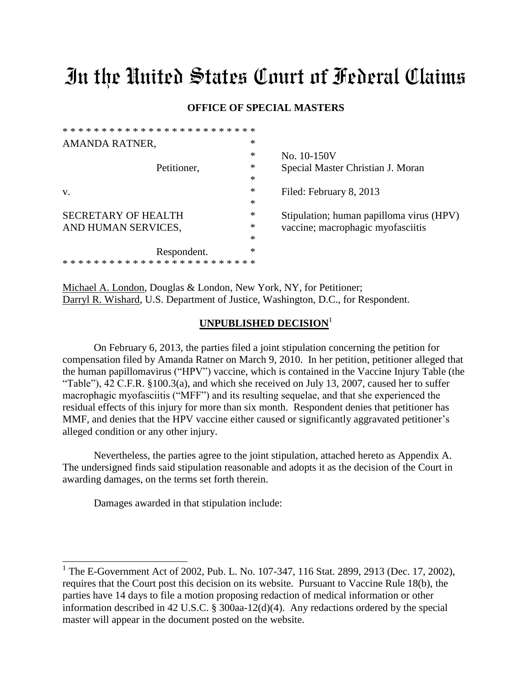# In the United States Court of Federal Claims

### **OFFICE OF SPECIAL MASTERS**

| AMANDA RATNER,             | *      |                                          |
|----------------------------|--------|------------------------------------------|
|                            | *      | No. 10-150V                              |
| Petitioner,                | *      | Special Master Christian J. Moran        |
|                            | $\ast$ |                                          |
| V.                         | $\ast$ | Filed: February 8, 2013                  |
|                            | $\ast$ |                                          |
| <b>SECRETARY OF HEALTH</b> | $\ast$ | Stipulation; human papilloma virus (HPV) |
| AND HUMAN SERVICES,        | $\ast$ | vaccine; macrophagic myofasciitis        |
|                            | $\ast$ |                                          |
| Respondent.                | *      |                                          |
| ************************   |        |                                          |
|                            |        |                                          |

Michael A. London, Douglas & London, New York, NY, for Petitioner; Darryl R. Wishard, U.S. Department of Justice, Washington, D.C., for Respondent.

## **UNPUBLISHED DECISION**<sup>1</sup>

On February 6, 2013, the parties filed a joint stipulation concerning the petition for compensation filed by Amanda Ratner on March 9, 2010. In her petition, petitioner alleged that the human papillomavirus ("HPV") vaccine, which is contained in the Vaccine Injury Table (the "Table"), 42 C.F.R. §100.3(a), and which she received on July 13, 2007, caused her to suffer macrophagic myofasciitis ("MFF") and its resulting sequelae, and that she experienced the residual effects of this injury for more than six month. Respondent denies that petitioner has MMF, and denies that the HPV vaccine either caused or significantly aggravated petitioner's alleged condition or any other injury.

Nevertheless, the parties agree to the joint stipulation, attached hereto as Appendix A. The undersigned finds said stipulation reasonable and adopts it as the decision of the Court in awarding damages, on the terms set forth therein.

Damages awarded in that stipulation include:

\* \* \* \* \* \* \* \* \* \* \* \* \* \* \* \* \* \* \* \* \* \* \* \* \*

<sup>&</sup>lt;sup>1</sup> The E-Government Act of 2002, Pub. L. No. 107-347, 116 Stat. 2899, 2913 (Dec. 17, 2002), requires that the Court post this decision on its website. Pursuant to Vaccine Rule 18(b), the parties have 14 days to file a motion proposing redaction of medical information or other information described in 42 U.S.C. § 300aa-12(d)(4). Any redactions ordered by the special master will appear in the document posted on the website.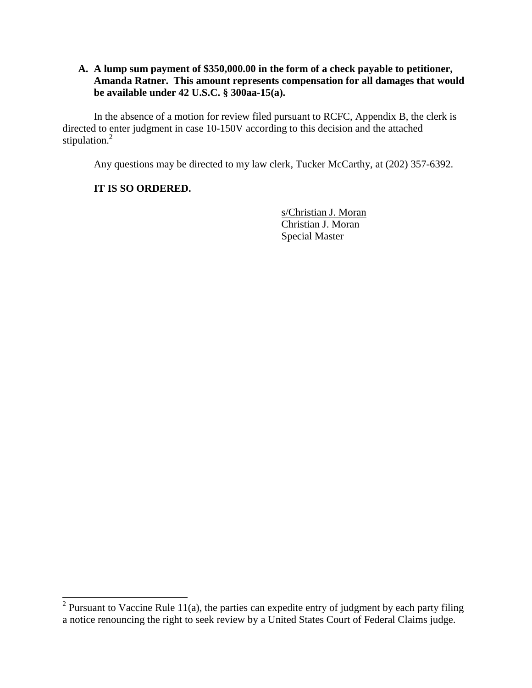## **A. A lump sum payment of \$350,000.00 in the form of a check payable to petitioner, Amanda Ratner. This amount represents compensation for all damages that would be available under 42 U.S.C. § 300aa-15(a).**

In the absence of a motion for review filed pursuant to RCFC, Appendix B, the clerk is directed to enter judgment in case 10-150V according to this decision and the attached stipulation.<sup>2</sup>

Any questions may be directed to my law clerk, Tucker McCarthy, at (202) 357-6392.

## **IT IS SO ORDERED.**

s/Christian J. Moran Christian J. Moran Special Master

<sup>&</sup>lt;sup>2</sup> Pursuant to Vaccine Rule 11(a), the parties can expedite entry of judgment by each party filing a notice renouncing the right to seek review by a United States Court of Federal Claims judge.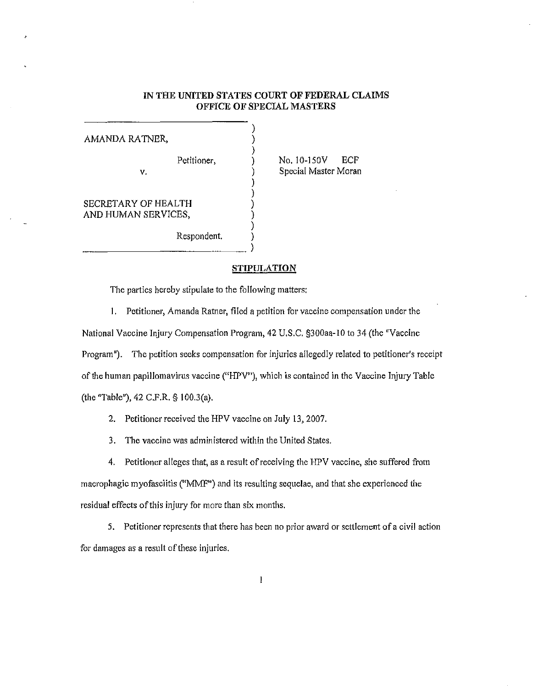#### IN THE UNITED STATES COURT OF FEDERAL CLAIMS OFFICE OF SPECIAL MASTERS

| AMANDA RATNER,      |             |  |
|---------------------|-------------|--|
|                     |             |  |
|                     | Petitioner, |  |
| ν.                  |             |  |
|                     |             |  |
|                     |             |  |
| SECRETARY OF HEALTH |             |  |
| AND HUMAN SERVICES, |             |  |
|                     |             |  |
|                     | Respondent. |  |
|                     |             |  |

No. 10-150V ECF Special Master Moran

#### **STIPULATION**

The parties hereby stipulate to the following matters:

I. Petitioner, Amanda Ratner, filed a petition for vaccine compensation under the National Vaccine Injury Compensation Program, 42 U.S.C. §300aa-10 to 34 (the "Vaccine Program"). The petition seeks compensation for injuries allegedly related to petitioner's receipt of the human papillomavirus vaccine ("HPV"), which is contained in the Vaccine Injury Table (the "Table"), 42 C.F.R. § I 00.3(a).

2. Petitioner received the HPV vaccine on July 13, 2007.

3. The vaccine was administered within the United States.

4. Petitioner alleges that, as a result of receiving the HPV vaccine, she suffered from macrophagic myofasciitis ("MMF'') and its resulting sequelae, and that she experienced the residual effects of this injury for more than six months.

5. Petitioner represents that there has been no prior award or settlement of a civil action for damages as a result of these injuries.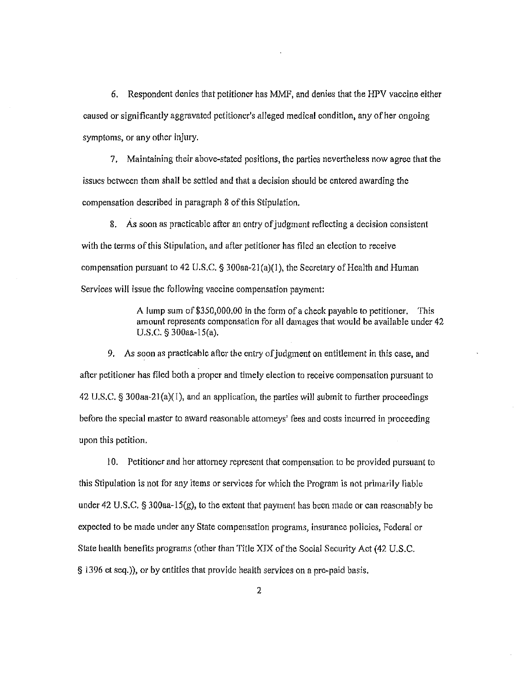6. Respondent denies that petitioner has MMF, and denies that the HPV vaccine either caused or significantly aggravated petitioner's alleged medical condition, any of her ongoing symptoms, or any other injury.

7. Maintaining their above-stated positions, the parties nevertheless now agree that the issues between them shall be settled and that a decision should be entered awarding the compensation described in paragraph 8 of this Stipulation.

8. As soon as practicable after an entry of judgment reflecting a decision consistent with the terms of this Stipulation, and after petitioner has filed an election to receive compensation pursuant to 42 U.S.C.  $\S$  300aa-21(a)(1), the Secretary of Health and Human Services will issue the following vaccine compensation payment:

> A lump sum of \$350,000.00 in the form of a check payable to petitioner. This amount represents compensation for all damages that would be available under 42 U.S.C. § 300aa-15(a).

9. As soon as practicable after the entry of judgment on entitlement in this case, and after petitioner has filed both a proper and timely election to receive compensation pursuant to 42 U.S.C. § 300aa-21(a)(1), and an application, the parties will submit to further proceedings before the special master to award reasonable attorneys' fees and costs incurred in pmceeding upon this petition.

10. Petitioner and her attorney represent that compensation to be provided pursuant to this Stipulation is not for any items or services for which the Program is not primarily liable under 42 U.S.C.  $\S$  300aa-15(g), to the extent that payment has been made or can reasonably be expected to be made under any State compensation programs, insurance policies, Federal or State health benefits programs (other than Title XIX of the Social Security Act (42 U.S.C. § 1396 et seq.)), or by entities that provide health services on a pre-paid basis.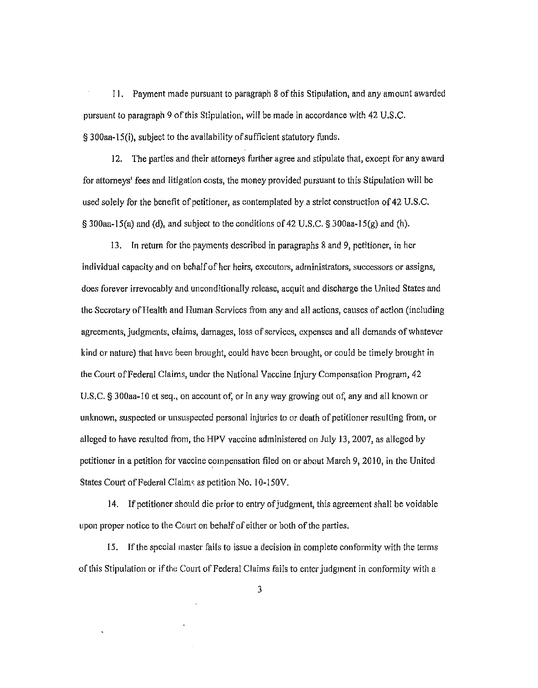11. Payment made pursuant to paragraph 8 of this Stipulation, and any amount awarded pursuant to paragraph 9 of this Stipulation, will be made in accordance with 42 U.S.C. § 300aa-15(i), subject to the availability of sufficient statutory funds.

12. The parties and their attorneys further agree and stipulate that, except for any award for attorneys' fees and litigation costs, the money provided pursuant to this Stipulation will be used solely for the benefit of petitioner, as contemplated by a strict construction of 42 U.S.C.  $\S$  300aa-15(a) and (d), and subject to the conditions of 42 U.S.C.  $\S$  300aa-15(g) and (h).

13. In return for the payments described in paragraphs 8 and 9, petitioner, in her individual capacity and on behalf of her heirs, executors, administrators, successors or assigns, does forever irrevocably and unconditionally release, acquit and discharge the United States and the Secretary of Health and Human Services from any and all actions, causes of action (including agreements, judgments, claims, damages, loss of services, expenses and all demands of whatever kind or nature) that have been brought, could have been brought, or could be timely brought in the Court of Federal Claims, under the National Vaccine Injury Compensation Program, 42 U.S.C. § 300aa-10 et seq., on account of, or in any way growing out of, any and all known or unknown, suspected or unsuspected personal injuries to or death of petitioner resulting from, or alleged to have resulted from, the HPV vaccine administered on July 13, 2007, as alleged by petitioner in a petition for vaccine compensation filed on or about March 9, 2010, in the United States Court of Federal Claims as petition No. 10-150V.

14. If petitioner should die prior to entry of judgment, this agreement shall be voidable upon proper notice to the Comt on behalf of either or both of the parties.

15. If the special master fails to issue a decision in complete conformity with the terms of this Stipulation or if the Court of Federal Claims fails to enter judgment in conformity with a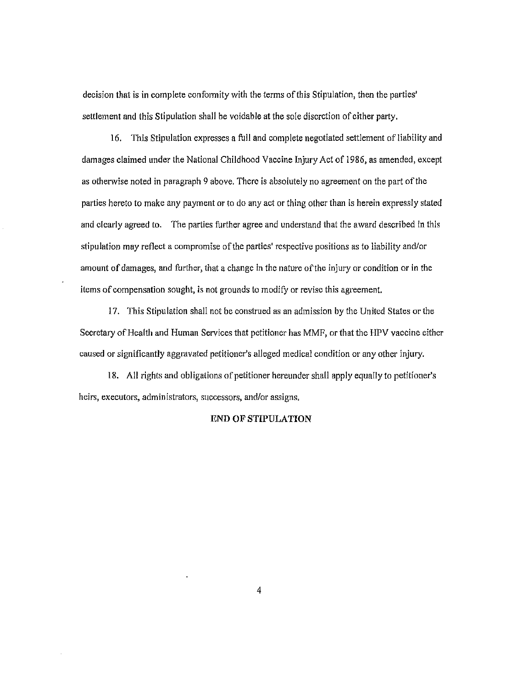decision that is in complete conformity with the terms of this Stipulation, then the parties' settlement and this Stipulation shall be voidable at the sole discretion of either party.

16. This Stipulation expresses a full and complete negotiated settlement of liability and damages claimed under the National Childhood Vaccine Injury Act of 1986, as amended, except as otherwise noted in paragraph 9 above. There is absolutely no agreement on the part of the parties hereto to make any payment or to do any act or thing other than is herein expressly stated and clearly agreed to. The parties further agree and understand that the award described in this stipulation may reflect a compromise of the parties' respective positions as to liability and/or amount of damages, and further, that a change in the nature ofthe injury or condition or in the items of compensation sought, is not grounds to modify or revise this agreement.

17. This Stipulation shall not be construed as an admission by the United States or the Secretary of Health and Human Services that petitioner has MMF, or that the HPV vaccine either caused or significantly aggravated petitioner's alleged medical condition or any other injury.

18. All rights and obligations of petitioner hereunder shall apply equally to petitioner's heirs, executors, administrators, successors, and/or assigns.

#### **END OF STIPULATION**

4